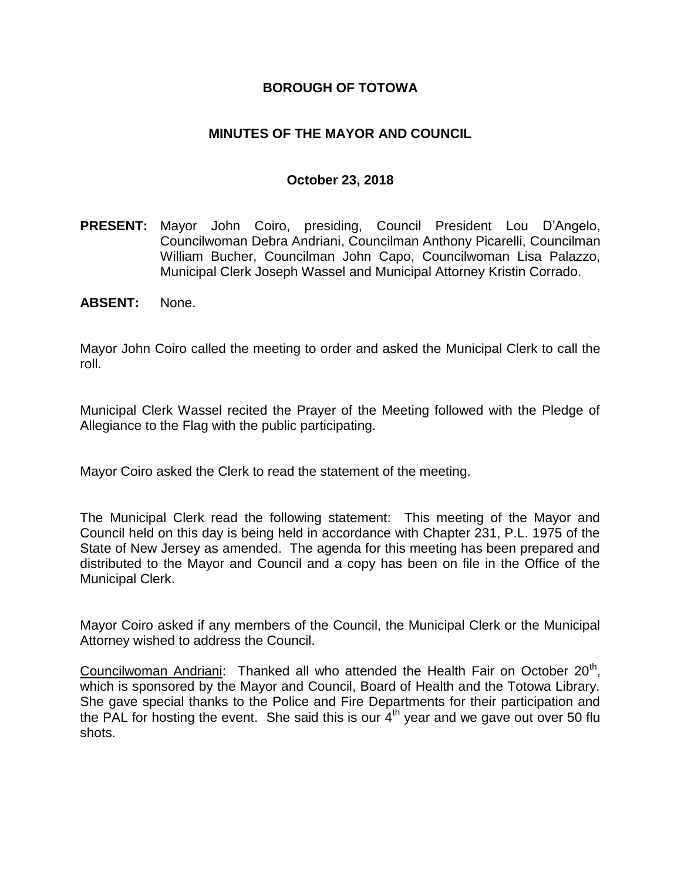### **BOROUGH OF TOTOWA**

### **MINUTES OF THE MAYOR AND COUNCIL**

#### **October 23, 2018**

- **PRESENT:** Mayor John Coiro, presiding, Council President Lou D'Angelo, Councilwoman Debra Andriani, Councilman Anthony Picarelli, Councilman William Bucher, Councilman John Capo, Councilwoman Lisa Palazzo, Municipal Clerk Joseph Wassel and Municipal Attorney Kristin Corrado.
- **ABSENT:** None.

Mayor John Coiro called the meeting to order and asked the Municipal Clerk to call the roll.

Municipal Clerk Wassel recited the Prayer of the Meeting followed with the Pledge of Allegiance to the Flag with the public participating.

Mayor Coiro asked the Clerk to read the statement of the meeting.

The Municipal Clerk read the following statement: This meeting of the Mayor and Council held on this day is being held in accordance with Chapter 231, P.L. 1975 of the State of New Jersey as amended. The agenda for this meeting has been prepared and distributed to the Mayor and Council and a copy has been on file in the Office of the Municipal Clerk.

Mayor Coiro asked if any members of the Council, the Municipal Clerk or the Municipal Attorney wished to address the Council.

Councilwoman Andriani: Thanked all who attended the Health Fair on October 20<sup>th</sup>, which is sponsored by the Mayor and Council, Board of Health and the Totowa Library. She gave special thanks to the Police and Fire Departments for their participation and the PAL for hosting the event. She said this is our  $4<sup>th</sup>$  year and we gave out over 50 flu shots.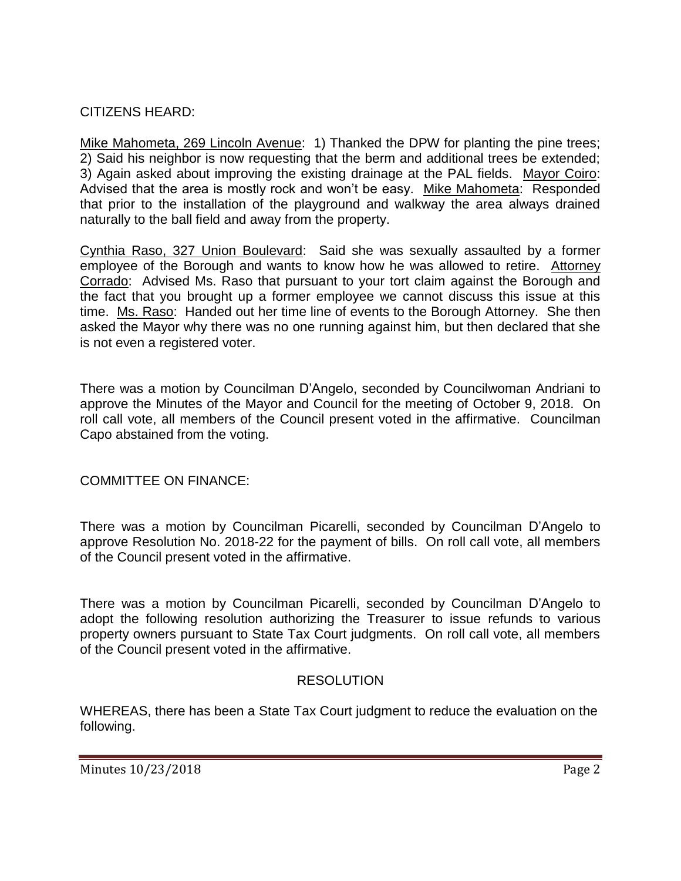## CITIZENS HEARD:

Mike Mahometa, 269 Lincoln Avenue: 1) Thanked the DPW for planting the pine trees; 2) Said his neighbor is now requesting that the berm and additional trees be extended; 3) Again asked about improving the existing drainage at the PAL fields. Mayor Coiro: Advised that the area is mostly rock and won't be easy. Mike Mahometa: Responded that prior to the installation of the playground and walkway the area always drained naturally to the ball field and away from the property.

Cynthia Raso, 327 Union Boulevard: Said she was sexually assaulted by a former employee of the Borough and wants to know how he was allowed to retire. Attorney Corrado: Advised Ms. Raso that pursuant to your tort claim against the Borough and the fact that you brought up a former employee we cannot discuss this issue at this time. Ms. Raso: Handed out her time line of events to the Borough Attorney. She then asked the Mayor why there was no one running against him, but then declared that she is not even a registered voter.

There was a motion by Councilman D'Angelo, seconded by Councilwoman Andriani to approve the Minutes of the Mayor and Council for the meeting of October 9, 2018. On roll call vote, all members of the Council present voted in the affirmative. Councilman Capo abstained from the voting.

COMMITTEE ON FINANCE:

There was a motion by Councilman Picarelli, seconded by Councilman D'Angelo to approve Resolution No. 2018-22 for the payment of bills. On roll call vote, all members of the Council present voted in the affirmative.

There was a motion by Councilman Picarelli, seconded by Councilman D'Angelo to adopt the following resolution authorizing the Treasurer to issue refunds to various property owners pursuant to State Tax Court judgments. On roll call vote, all members of the Council present voted in the affirmative.

# RESOLUTION

WHEREAS, there has been a State Tax Court judgment to reduce the evaluation on the following.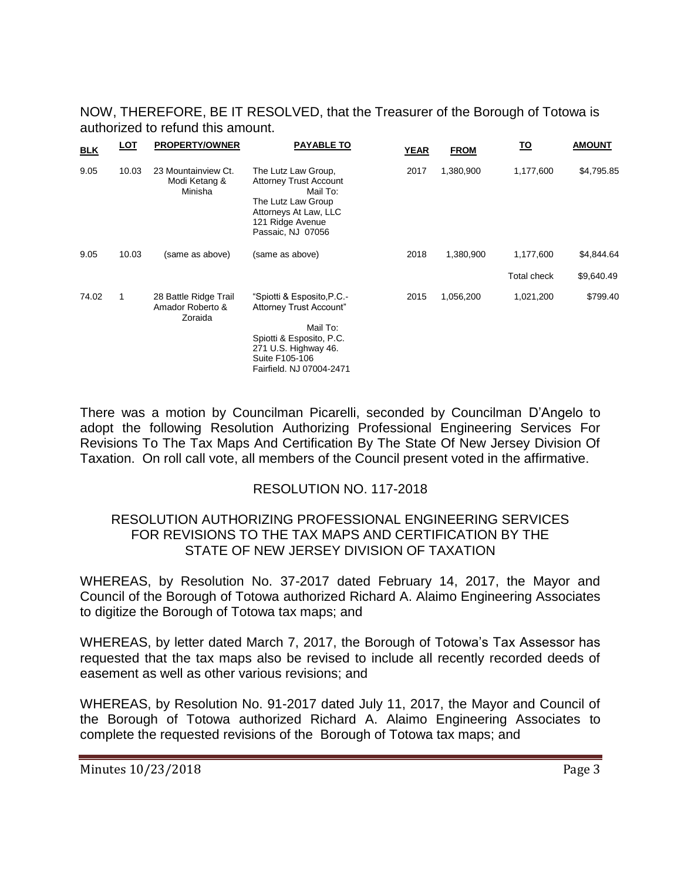NOW, THEREFORE, BE IT RESOLVED, that the Treasurer of the Borough of Totowa is authorized to refund this amount.

| <b>BLK</b> | <b>LOT</b> | <b>PROPERTY/OWNER</b>                                | <b>PAYABLE TO</b>                                                                                                                                                   | <b>YEAR</b> | <b>FROM</b> | <u>TO</u>          | <b>AMOUNT</b> |
|------------|------------|------------------------------------------------------|---------------------------------------------------------------------------------------------------------------------------------------------------------------------|-------------|-------------|--------------------|---------------|
| 9.05       | 10.03      | 23 Mountainview Ct.<br>Modi Ketang &<br>Minisha      | The Lutz Law Group,<br><b>Attorney Trust Account</b><br>Mail To:<br>The Lutz Law Group<br>Attorneys At Law, LLC<br>121 Ridge Avenue<br>Passaic, NJ 07056            | 2017        | 1,380,900   | 1,177,600          | \$4,795.85    |
| 9.05       | 10.03      | (same as above)                                      | (same as above)                                                                                                                                                     | 2018        | 1,380,900   | 1,177,600          | \$4,844.64    |
|            |            |                                                      |                                                                                                                                                                     |             |             | <b>Total check</b> | \$9,640.49    |
| 74.02      | 1          | 28 Battle Ridge Trail<br>Amador Roberto &<br>Zoraida | "Spiotti & Esposito, P.C.-<br>Attorney Trust Account"<br>Mail To:<br>Spiotti & Esposito, P.C.<br>271 U.S. Highway 46.<br>Suite F105-106<br>Fairfield, NJ 07004-2471 | 2015        | 1,056,200   | 1,021,200          | \$799.40      |

There was a motion by Councilman Picarelli, seconded by Councilman D'Angelo to adopt the following Resolution Authorizing Professional Engineering Services For Revisions To The Tax Maps And Certification By The State Of New Jersey Division Of Taxation. On roll call vote, all members of the Council present voted in the affirmative.

## RESOLUTION NO. 117-2018

#### RESOLUTION AUTHORIZING PROFESSIONAL ENGINEERING SERVICES FOR REVISIONS TO THE TAX MAPS AND CERTIFICATION BY THE STATE OF NEW JERSEY DIVISION OF TAXATION

WHEREAS, by Resolution No. 37-2017 dated February 14, 2017, the Mayor and Council of the Borough of Totowa authorized Richard A. Alaimo Engineering Associates to digitize the Borough of Totowa tax maps; and

WHEREAS, by letter dated March 7, 2017, the Borough of Totowa's Tax Assessor has requested that the tax maps also be revised to include all recently recorded deeds of easement as well as other various revisions; and

WHEREAS, by Resolution No. 91-2017 dated July 11, 2017, the Mayor and Council of the Borough of Totowa authorized Richard A. Alaimo Engineering Associates to complete the requested revisions of the Borough of Totowa tax maps; and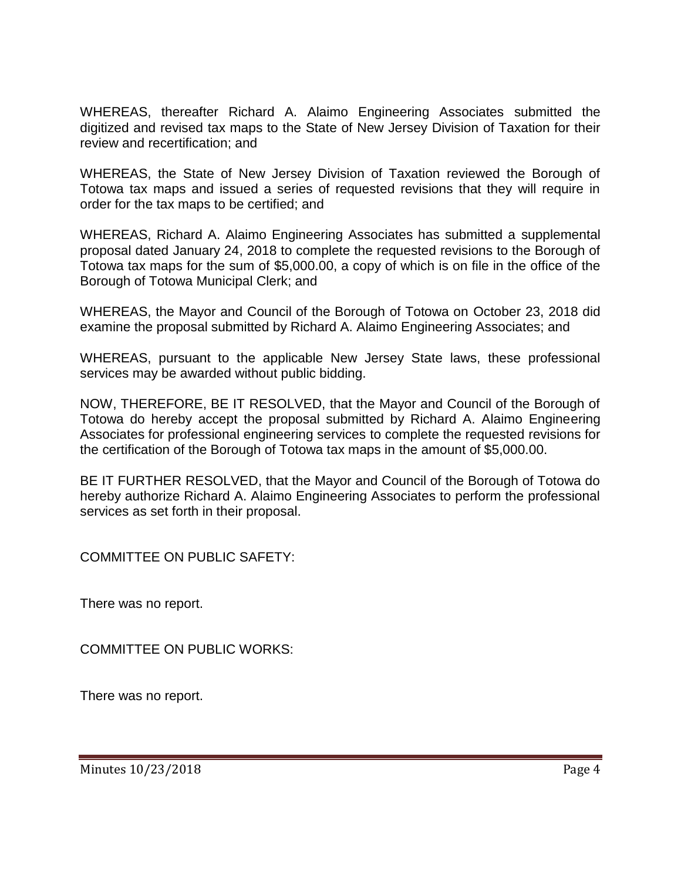WHEREAS, thereafter Richard A. Alaimo Engineering Associates submitted the digitized and revised tax maps to the State of New Jersey Division of Taxation for their review and recertification; and

WHEREAS, the State of New Jersey Division of Taxation reviewed the Borough of Totowa tax maps and issued a series of requested revisions that they will require in order for the tax maps to be certified; and

WHEREAS, Richard A. Alaimo Engineering Associates has submitted a supplemental proposal dated January 24, 2018 to complete the requested revisions to the Borough of Totowa tax maps for the sum of \$5,000.00, a copy of which is on file in the office of the Borough of Totowa Municipal Clerk; and

WHEREAS, the Mayor and Council of the Borough of Totowa on October 23, 2018 did examine the proposal submitted by Richard A. Alaimo Engineering Associates; and

WHEREAS, pursuant to the applicable New Jersey State laws, these professional services may be awarded without public bidding.

NOW, THEREFORE, BE IT RESOLVED, that the Mayor and Council of the Borough of Totowa do hereby accept the proposal submitted by Richard A. Alaimo Engineering Associates for professional engineering services to complete the requested revisions for the certification of the Borough of Totowa tax maps in the amount of \$5,000.00.

BE IT FURTHER RESOLVED, that the Mayor and Council of the Borough of Totowa do hereby authorize Richard A. Alaimo Engineering Associates to perform the professional services as set forth in their proposal.

COMMITTEE ON PUBLIC SAFETY:

There was no report.

COMMITTEE ON PUBLIC WORKS:

There was no report.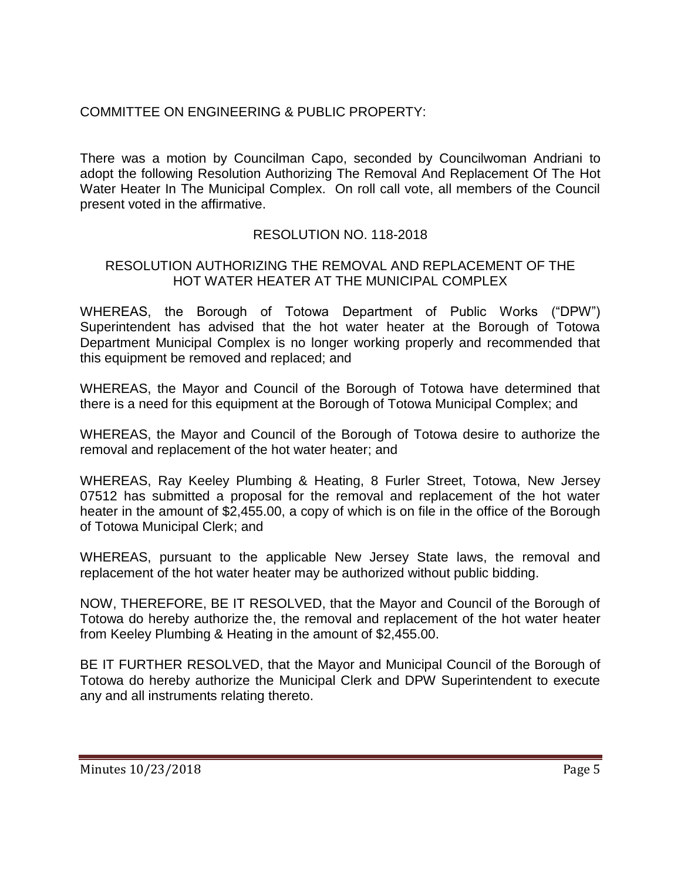## COMMITTEE ON ENGINEERING & PUBLIC PROPERTY:

There was a motion by Councilman Capo, seconded by Councilwoman Andriani to adopt the following Resolution Authorizing The Removal And Replacement Of The Hot Water Heater In The Municipal Complex. On roll call vote, all members of the Council present voted in the affirmative.

## RESOLUTION NO. 118-2018

### RESOLUTION AUTHORIZING THE REMOVAL AND REPLACEMENT OF THE HOT WATER HEATER AT THE MUNICIPAL COMPLEX

WHEREAS, the Borough of Totowa Department of Public Works ("DPW") Superintendent has advised that the hot water heater at the Borough of Totowa Department Municipal Complex is no longer working properly and recommended that this equipment be removed and replaced; and

WHEREAS, the Mayor and Council of the Borough of Totowa have determined that there is a need for this equipment at the Borough of Totowa Municipal Complex; and

WHEREAS, the Mayor and Council of the Borough of Totowa desire to authorize the removal and replacement of the hot water heater; and

WHEREAS, Ray Keeley Plumbing & Heating, 8 Furler Street, Totowa, New Jersey 07512 has submitted a proposal for the removal and replacement of the hot water heater in the amount of \$2,455.00, a copy of which is on file in the office of the Borough of Totowa Municipal Clerk; and

WHEREAS, pursuant to the applicable New Jersey State laws, the removal and replacement of the hot water heater may be authorized without public bidding.

NOW, THEREFORE, BE IT RESOLVED, that the Mayor and Council of the Borough of Totowa do hereby authorize the, the removal and replacement of the hot water heater from Keeley Plumbing & Heating in the amount of \$2,455.00.

BE IT FURTHER RESOLVED, that the Mayor and Municipal Council of the Borough of Totowa do hereby authorize the Municipal Clerk and DPW Superintendent to execute any and all instruments relating thereto.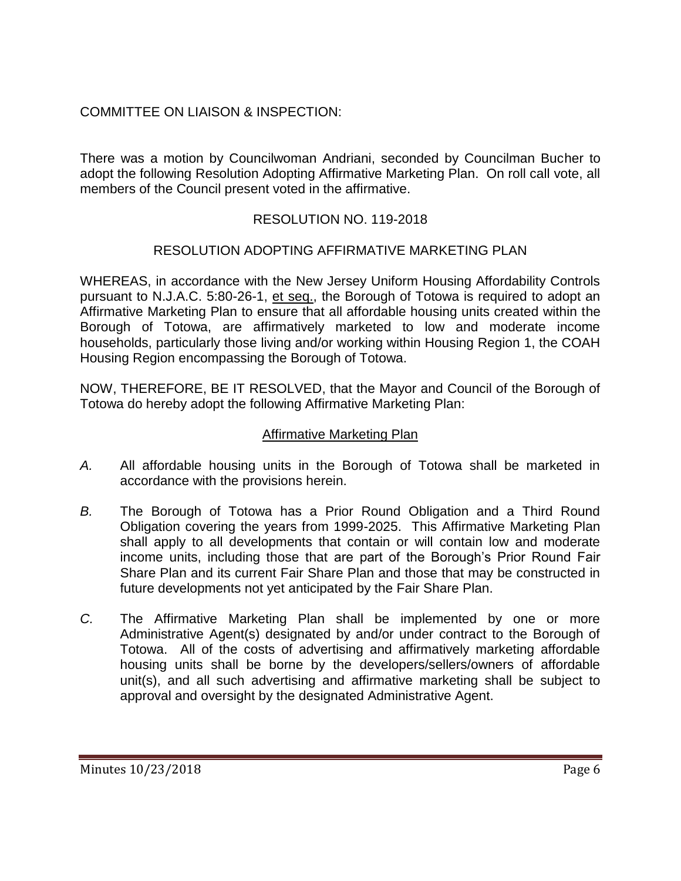## COMMITTEE ON LIAISON & INSPECTION:

There was a motion by Councilwoman Andriani, seconded by Councilman Bucher to adopt the following Resolution Adopting Affirmative Marketing Plan. On roll call vote, all members of the Council present voted in the affirmative.

## RESOLUTION NO. 119-2018

## RESOLUTION ADOPTING AFFIRMATIVE MARKETING PLAN

WHEREAS, in accordance with the New Jersey Uniform Housing Affordability Controls pursuant to N.J.A.C. 5:80-26-1, et seq., the Borough of Totowa is required to adopt an Affirmative Marketing Plan to ensure that all affordable housing units created within the Borough of Totowa, are affirmatively marketed to low and moderate income households, particularly those living and/or working within Housing Region 1, the COAH Housing Region encompassing the Borough of Totowa.

NOW, THEREFORE, BE IT RESOLVED, that the Mayor and Council of the Borough of Totowa do hereby adopt the following Affirmative Marketing Plan:

### Affirmative Marketing Plan

- *A.* All affordable housing units in the Borough of Totowa shall be marketed in accordance with the provisions herein.
- *B.* The Borough of Totowa has a Prior Round Obligation and a Third Round Obligation covering the years from 1999-2025. This Affirmative Marketing Plan shall apply to all developments that contain or will contain low and moderate income units, including those that are part of the Borough's Prior Round Fair Share Plan and its current Fair Share Plan and those that may be constructed in future developments not yet anticipated by the Fair Share Plan.
- *C.* The Affirmative Marketing Plan shall be implemented by one or more Administrative Agent(s) designated by and/or under contract to the Borough of Totowa. All of the costs of advertising and affirmatively marketing affordable housing units shall be borne by the developers/sellers/owners of affordable unit(s), and all such advertising and affirmative marketing shall be subject to approval and oversight by the designated Administrative Agent.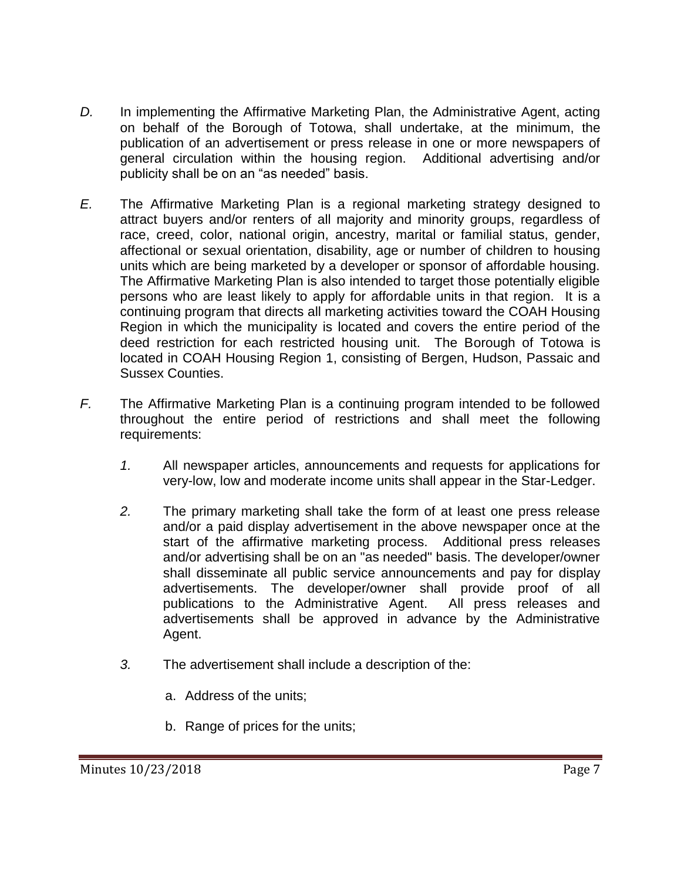- *D.* In implementing the Affirmative Marketing Plan, the Administrative Agent, acting on behalf of the Borough of Totowa, shall undertake, at the minimum, the publication of an advertisement or press release in one or more newspapers of general circulation within the housing region. Additional advertising and/or publicity shall be on an "as needed" basis.
- *E.* The Affirmative Marketing Plan is a regional marketing strategy designed to attract buyers and/or renters of all majority and minority groups, regardless of race, creed, color, national origin, ancestry, marital or familial status, gender, affectional or sexual orientation, disability, age or number of children to housing units which are being marketed by a developer or sponsor of affordable housing. The Affirmative Marketing Plan is also intended to target those potentially eligible persons who are least likely to apply for affordable units in that region. It is a continuing program that directs all marketing activities toward the COAH Housing Region in which the municipality is located and covers the entire period of the deed restriction for each restricted housing unit. The Borough of Totowa is located in COAH Housing Region 1, consisting of Bergen, Hudson, Passaic and Sussex Counties.
- *F.* The Affirmative Marketing Plan is a continuing program intended to be followed throughout the entire period of restrictions and shall meet the following requirements:
	- *1.* All newspaper articles, announcements and requests for applications for very-low, low and moderate income units shall appear in the Star-Ledger.
	- *2.* The primary marketing shall take the form of at least one press release and/or a paid display advertisement in the above newspaper once at the start of the affirmative marketing process. Additional press releases and/or advertising shall be on an "as needed" basis. The developer/owner shall disseminate all public service announcements and pay for display advertisements. The developer/owner shall provide proof of all publications to the Administrative Agent. All press releases and advertisements shall be approved in advance by the Administrative Agent.
	- *3.* The advertisement shall include a description of the:
		- a. Address of the units;
		- b. Range of prices for the units;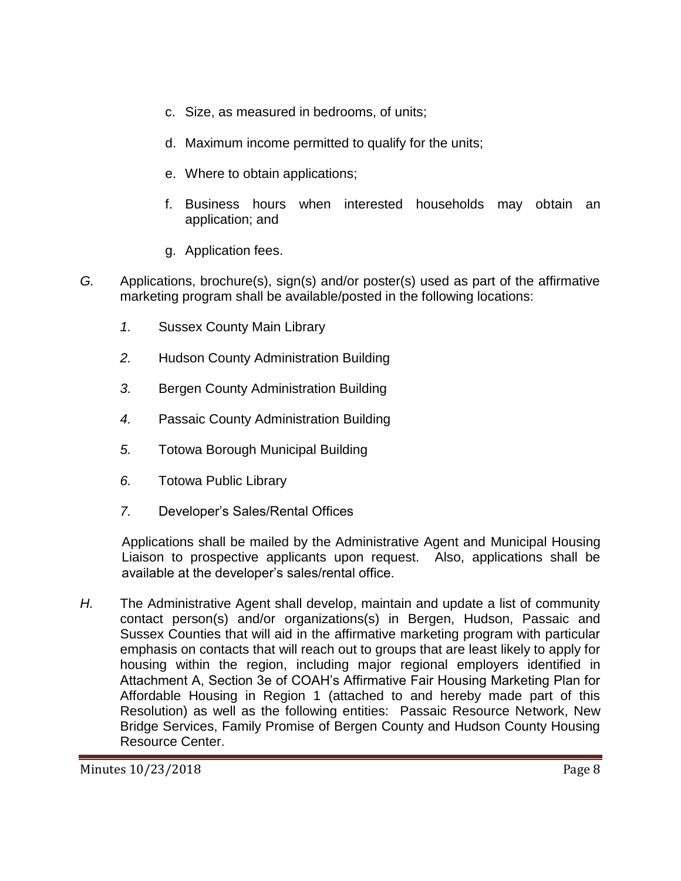- c. Size, as measured in bedrooms, of units;
- d. Maximum income permitted to qualify for the units;
- e. Where to obtain applications;
- f. Business hours when interested households may obtain an application; and
- g. Application fees.
- *G.* Applications, brochure(s), sign(s) and/or poster(s) used as part of the affirmative marketing program shall be available/posted in the following locations:
	- *1.* Sussex County Main Library
	- *2.* Hudson County Administration Building
	- *3.* Bergen County Administration Building
	- *4.* Passaic County Administration Building
	- *5.* Totowa Borough Municipal Building
	- *6.* Totowa Public Library
	- *7.* Developer's Sales/Rental Offices

Applications shall be mailed by the Administrative Agent and Municipal Housing Liaison to prospective applicants upon request. Also, applications shall be available at the developer's sales/rental office.

*H.* The Administrative Agent shall develop, maintain and update a list of community contact person(s) and/or organizations(s) in Bergen, Hudson, Passaic and Sussex Counties that will aid in the affirmative marketing program with particular emphasis on contacts that will reach out to groups that are least likely to apply for housing within the region, including major regional employers identified in Attachment A, Section 3e of COAH's Affirmative Fair Housing Marketing Plan for Affordable Housing in Region 1 (attached to and hereby made part of this Resolution) as well as the following entities: Passaic Resource Network, New Bridge Services, Family Promise of Bergen County and Hudson County Housing Resource Center.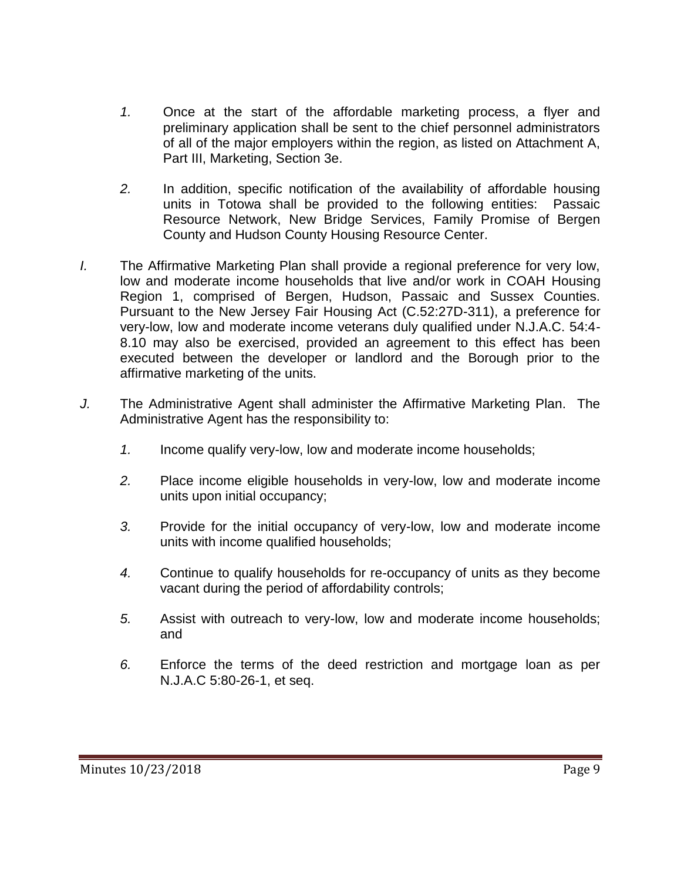- *1.* Once at the start of the affordable marketing process, a flyer and preliminary application shall be sent to the chief personnel administrators of all of the major employers within the region, as listed on Attachment A, Part III, Marketing, Section 3e.
- *2.* In addition, specific notification of the availability of affordable housing units in Totowa shall be provided to the following entities: Passaic Resource Network, New Bridge Services, Family Promise of Bergen County and Hudson County Housing Resource Center.
- *I.* The Affirmative Marketing Plan shall provide a regional preference for very low, low and moderate income households that live and/or work in COAH Housing Region 1, comprised of Bergen, Hudson, Passaic and Sussex Counties. Pursuant to the New Jersey Fair Housing Act (C.52:27D-311), a preference for very-low, low and moderate income veterans duly qualified under N.J.A.C. 54:4- 8.10 may also be exercised, provided an agreement to this effect has been executed between the developer or landlord and the Borough prior to the affirmative marketing of the units.
- *J.* The Administrative Agent shall administer the Affirmative Marketing Plan. The Administrative Agent has the responsibility to:
	- *1.* Income qualify very-low, low and moderate income households;
	- *2.* Place income eligible households in very-low, low and moderate income units upon initial occupancy;
	- *3.* Provide for the initial occupancy of very-low, low and moderate income units with income qualified households;
	- *4.* Continue to qualify households for re-occupancy of units as they become vacant during the period of affordability controls;
	- *5.* Assist with outreach to very-low, low and moderate income households; and
	- *6.* Enforce the terms of the deed restriction and mortgage loan as per N.J.A.C 5:80-26-1, et seq.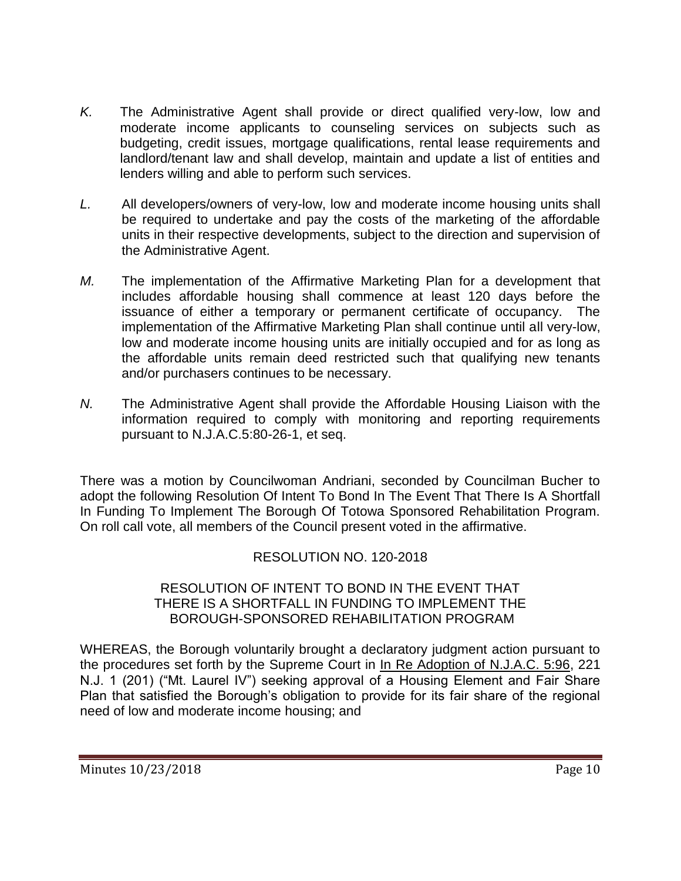- *K.* The Administrative Agent shall provide or direct qualified very-low, low and moderate income applicants to counseling services on subjects such as budgeting, credit issues, mortgage qualifications, rental lease requirements and landlord/tenant law and shall develop, maintain and update a list of entities and lenders willing and able to perform such services.
- *L.* All developers/owners of very-low, low and moderate income housing units shall be required to undertake and pay the costs of the marketing of the affordable units in their respective developments, subject to the direction and supervision of the Administrative Agent.
- *M.* The implementation of the Affirmative Marketing Plan for a development that includes affordable housing shall commence at least 120 days before the issuance of either a temporary or permanent certificate of occupancy. The implementation of the Affirmative Marketing Plan shall continue until all very-low, low and moderate income housing units are initially occupied and for as long as the affordable units remain deed restricted such that qualifying new tenants and/or purchasers continues to be necessary.
- *N.* The Administrative Agent shall provide the Affordable Housing Liaison with the information required to comply with monitoring and reporting requirements pursuant to N.J.A.C.5:80-26-1, et seq.

There was a motion by Councilwoman Andriani, seconded by Councilman Bucher to adopt the following Resolution Of Intent To Bond In The Event That There Is A Shortfall In Funding To Implement The Borough Of Totowa Sponsored Rehabilitation Program. On roll call vote, all members of the Council present voted in the affirmative.

# RESOLUTION NO. 120-2018

### RESOLUTION OF INTENT TO BOND IN THE EVENT THAT THERE IS A SHORTFALL IN FUNDING TO IMPLEMENT THE BOROUGH-SPONSORED REHABILITATION PROGRAM

WHEREAS, the Borough voluntarily brought a declaratory judgment action pursuant to the procedures set forth by the Supreme Court in In Re Adoption of N.J.A.C. 5:96, 221 N.J. 1 (201) ("Mt. Laurel IV") seeking approval of a Housing Element and Fair Share Plan that satisfied the Borough's obligation to provide for its fair share of the regional need of low and moderate income housing; and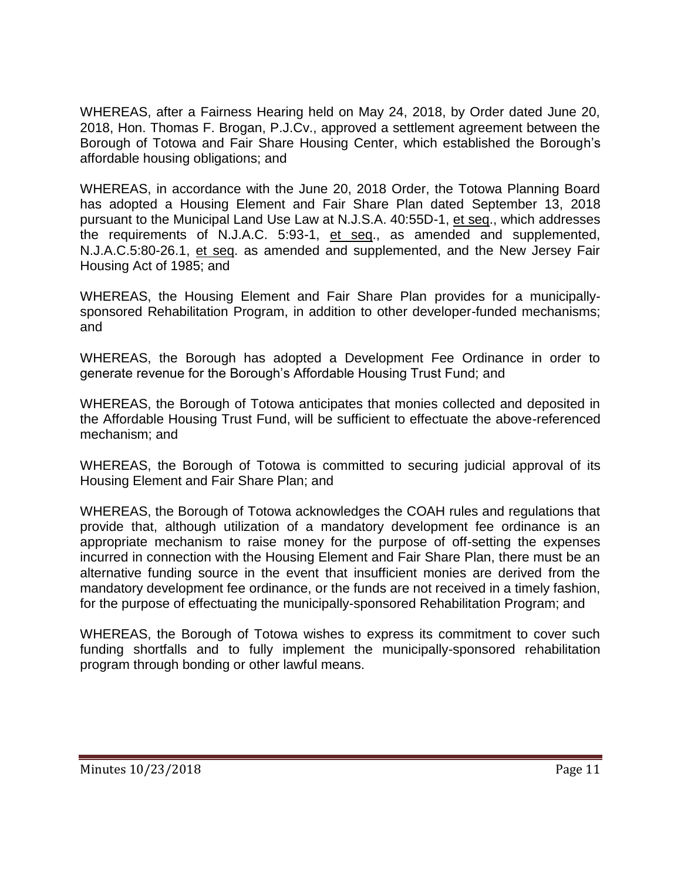WHEREAS, after a Fairness Hearing held on May 24, 2018, by Order dated June 20, 2018, Hon. Thomas F. Brogan, P.J.Cv., approved a settlement agreement between the Borough of Totowa and Fair Share Housing Center, which established the Borough's affordable housing obligations; and

WHEREAS, in accordance with the June 20, 2018 Order, the Totowa Planning Board has adopted a Housing Element and Fair Share Plan dated September 13, 2018 pursuant to the Municipal Land Use Law at N.J.S.A. 40:55D-1, et seq., which addresses the requirements of N.J.A.C. 5:93-1, et seq., as amended and supplemented, N.J.A.C.5:80-26.1, et seq. as amended and supplemented, and the New Jersey Fair Housing Act of 1985; and

WHEREAS, the Housing Element and Fair Share Plan provides for a municipallysponsored Rehabilitation Program, in addition to other developer-funded mechanisms; and

WHEREAS, the Borough has adopted a Development Fee Ordinance in order to generate revenue for the Borough's Affordable Housing Trust Fund; and

WHEREAS, the Borough of Totowa anticipates that monies collected and deposited in the Affordable Housing Trust Fund, will be sufficient to effectuate the above-referenced mechanism; and

WHEREAS, the Borough of Totowa is committed to securing judicial approval of its Housing Element and Fair Share Plan; and

WHEREAS, the Borough of Totowa acknowledges the COAH rules and regulations that provide that, although utilization of a mandatory development fee ordinance is an appropriate mechanism to raise money for the purpose of off-setting the expenses incurred in connection with the Housing Element and Fair Share Plan, there must be an alternative funding source in the event that insufficient monies are derived from the mandatory development fee ordinance, or the funds are not received in a timely fashion, for the purpose of effectuating the municipally-sponsored Rehabilitation Program; and

WHEREAS, the Borough of Totowa wishes to express its commitment to cover such funding shortfalls and to fully implement the municipally-sponsored rehabilitation program through bonding or other lawful means.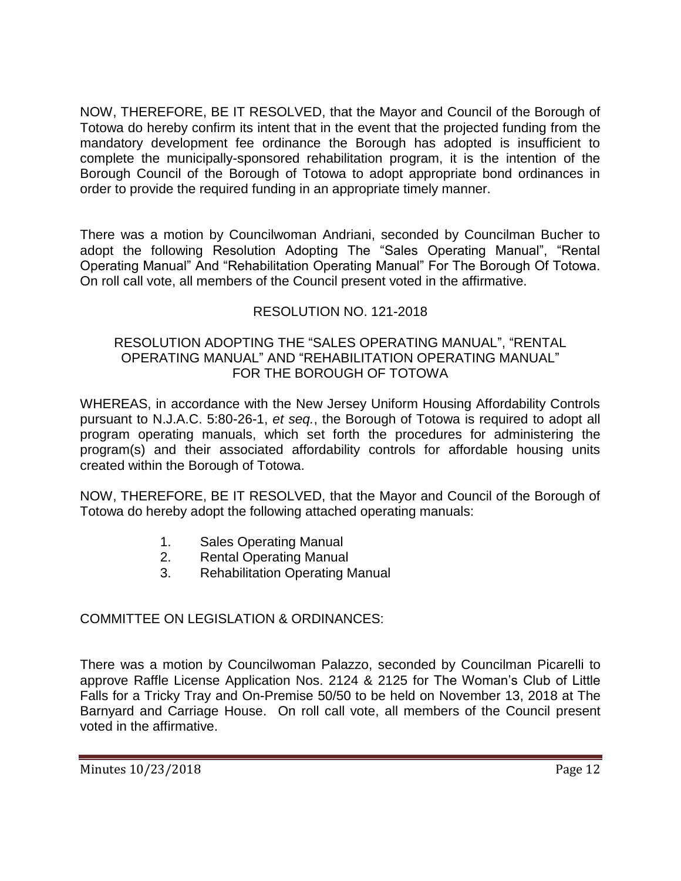NOW, THEREFORE, BE IT RESOLVED, that the Mayor and Council of the Borough of Totowa do hereby confirm its intent that in the event that the projected funding from the mandatory development fee ordinance the Borough has adopted is insufficient to complete the municipally-sponsored rehabilitation program, it is the intention of the Borough Council of the Borough of Totowa to adopt appropriate bond ordinances in order to provide the required funding in an appropriate timely manner.

There was a motion by Councilwoman Andriani, seconded by Councilman Bucher to adopt the following Resolution Adopting The "Sales Operating Manual", "Rental Operating Manual" And "Rehabilitation Operating Manual" For The Borough Of Totowa. On roll call vote, all members of the Council present voted in the affirmative.

# RESOLUTION NO. 121-2018

### RESOLUTION ADOPTING THE "SALES OPERATING MANUAL", "RENTAL OPERATING MANUAL" AND "REHABILITATION OPERATING MANUAL" FOR THE BOROUGH OF TOTOWA

WHEREAS, in accordance with the New Jersey Uniform Housing Affordability Controls pursuant to N.J.A.C. 5:80-26-1, *et seq.*, the Borough of Totowa is required to adopt all program operating manuals, which set forth the procedures for administering the program(s) and their associated affordability controls for affordable housing units created within the Borough of Totowa.

NOW, THEREFORE, BE IT RESOLVED, that the Mayor and Council of the Borough of Totowa do hereby adopt the following attached operating manuals:

- 1. Sales Operating Manual
- 2. Rental Operating Manual
- 3. Rehabilitation Operating Manual

# COMMITTEE ON LEGISLATION & ORDINANCES:

There was a motion by Councilwoman Palazzo, seconded by Councilman Picarelli to approve Raffle License Application Nos. 2124 & 2125 for The Woman's Club of Little Falls for a Tricky Tray and On-Premise 50/50 to be held on November 13, 2018 at The Barnyard and Carriage House. On roll call vote, all members of the Council present voted in the affirmative.